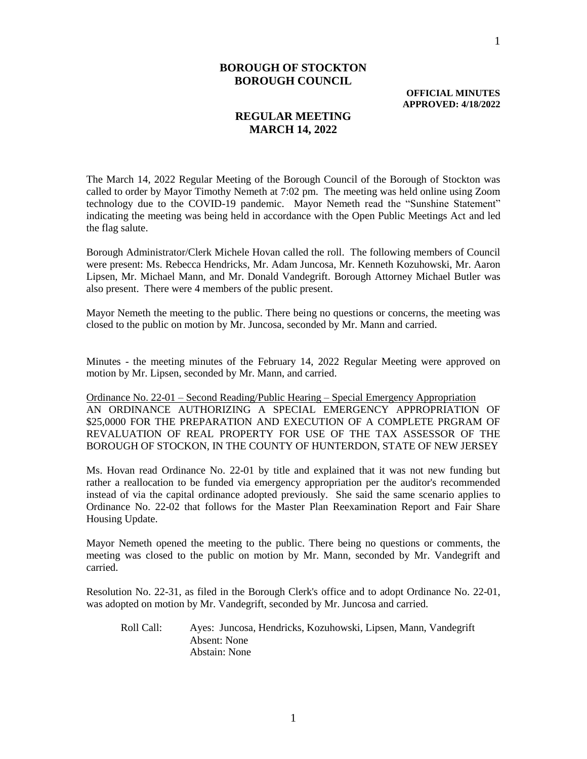**OFFICIAL MINUTES APPROVED: 4/18/2022**

## **REGULAR MEETING MARCH 14, 2022**

The March 14, 2022 Regular Meeting of the Borough Council of the Borough of Stockton was called to order by Mayor Timothy Nemeth at 7:02 pm. The meeting was held online using Zoom technology due to the COVID-19 pandemic. Mayor Nemeth read the "Sunshine Statement" indicating the meeting was being held in accordance with the Open Public Meetings Act and led the flag salute.

Borough Administrator/Clerk Michele Hovan called the roll. The following members of Council were present: Ms. Rebecca Hendricks, Mr. Adam Juncosa, Mr. Kenneth Kozuhowski, Mr. Aaron Lipsen, Mr. Michael Mann, and Mr. Donald Vandegrift. Borough Attorney Michael Butler was also present. There were 4 members of the public present.

Mayor Nemeth the meeting to the public. There being no questions or concerns, the meeting was closed to the public on motion by Mr. Juncosa, seconded by Mr. Mann and carried.

Minutes - the meeting minutes of the February 14, 2022 Regular Meeting were approved on motion by Mr. Lipsen, seconded by Mr. Mann, and carried.

Ordinance No. 22-01 – Second Reading/Public Hearing – Special Emergency Appropriation AN ORDINANCE AUTHORIZING A SPECIAL EMERGENCY APPROPRIATION OF \$25,0000 FOR THE PREPARATION AND EXECUTION OF A COMPLETE PRGRAM OF REVALUATION OF REAL PROPERTY FOR USE OF THE TAX ASSESSOR OF THE BOROUGH OF STOCKON, IN THE COUNTY OF HUNTERDON, STATE OF NEW JERSEY

Ms. Hovan read Ordinance No. 22-01 by title and explained that it was not new funding but rather a reallocation to be funded via emergency appropriation per the auditor's recommended instead of via the capital ordinance adopted previously. She said the same scenario applies to Ordinance No. 22-02 that follows for the Master Plan Reexamination Report and Fair Share Housing Update.

Mayor Nemeth opened the meeting to the public. There being no questions or comments, the meeting was closed to the public on motion by Mr. Mann, seconded by Mr. Vandegrift and carried.

Resolution No. 22-31, as filed in the Borough Clerk's office and to adopt Ordinance No. 22-01, was adopted on motion by Mr. Vandegrift, seconded by Mr. Juncosa and carried.

Roll Call: Ayes: Juncosa, Hendricks, Kozuhowski, Lipsen, Mann, Vandegrift Absent: None Abstain: None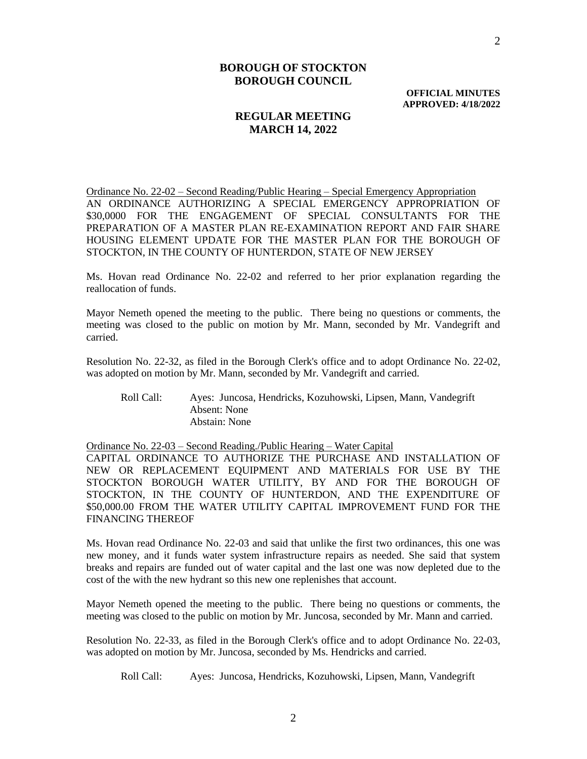**OFFICIAL MINUTES APPROVED: 4/18/2022**

## **REGULAR MEETING MARCH 14, 2022**

Ordinance No. 22-02 – Second Reading/Public Hearing – Special Emergency Appropriation AN ORDINANCE AUTHORIZING A SPECIAL EMERGENCY APPROPRIATION OF \$30,0000 FOR THE ENGAGEMENT OF SPECIAL CONSULTANTS FOR THE PREPARATION OF A MASTER PLAN RE-EXAMINATION REPORT AND FAIR SHARE HOUSING ELEMENT UPDATE FOR THE MASTER PLAN FOR THE BOROUGH OF STOCKTON, IN THE COUNTY OF HUNTERDON, STATE OF NEW JERSEY

Ms. Hovan read Ordinance No. 22-02 and referred to her prior explanation regarding the reallocation of funds.

Mayor Nemeth opened the meeting to the public. There being no questions or comments, the meeting was closed to the public on motion by Mr. Mann, seconded by Mr. Vandegrift and carried.

Resolution No. 22-32, as filed in the Borough Clerk's office and to adopt Ordinance No. 22-02, was adopted on motion by Mr. Mann, seconded by Mr. Vandegrift and carried.

Roll Call: Ayes: Juncosa, Hendricks, Kozuhowski, Lipsen, Mann, Vandegrift Absent: None Abstain: None

Ordinance No. 22-03 – Second Reading./Public Hearing – Water Capital

CAPITAL ORDINANCE TO AUTHORIZE THE PURCHASE AND INSTALLATION OF NEW OR REPLACEMENT EQUIPMENT AND MATERIALS FOR USE BY THE STOCKTON BOROUGH WATER UTILITY, BY AND FOR THE BOROUGH OF STOCKTON, IN THE COUNTY OF HUNTERDON, AND THE EXPENDITURE OF \$50,000.00 FROM THE WATER UTILITY CAPITAL IMPROVEMENT FUND FOR THE FINANCING THEREOF

Ms. Hovan read Ordinance No. 22-03 and said that unlike the first two ordinances, this one was new money, and it funds water system infrastructure repairs as needed. She said that system breaks and repairs are funded out of water capital and the last one was now depleted due to the cost of the with the new hydrant so this new one replenishes that account.

Mayor Nemeth opened the meeting to the public. There being no questions or comments, the meeting was closed to the public on motion by Mr. Juncosa, seconded by Mr. Mann and carried.

Resolution No. 22-33, as filed in the Borough Clerk's office and to adopt Ordinance No. 22-03, was adopted on motion by Mr. Juncosa, seconded by Ms. Hendricks and carried.

Roll Call: Ayes: Juncosa, Hendricks, Kozuhowski, Lipsen, Mann, Vandegrift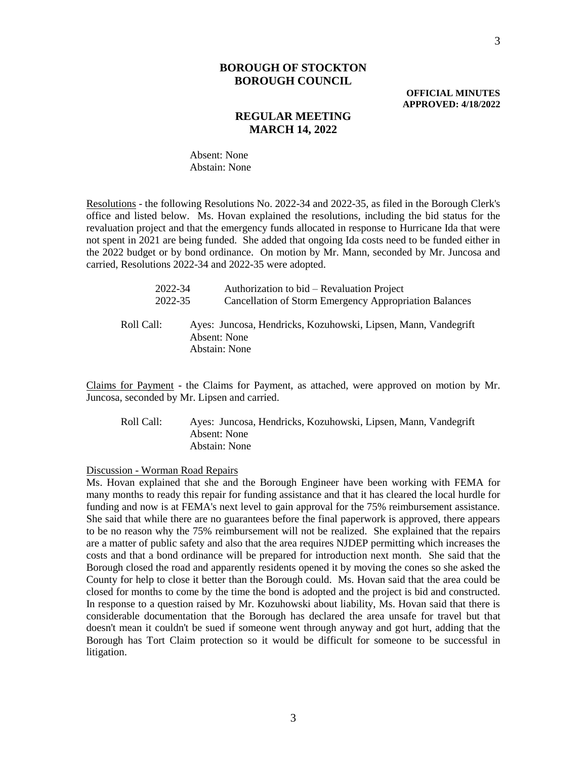**OFFICIAL MINUTES APPROVED: 4/18/2022**

## **REGULAR MEETING MARCH 14, 2022**

Absent: None Abstain: None

Resolutions - the following Resolutions No. 2022-34 and 2022-35, as filed in the Borough Clerk's office and listed below. Ms. Hovan explained the resolutions, including the bid status for the revaluation project and that the emergency funds allocated in response to Hurricane Ida that were not spent in 2021 are being funded. She added that ongoing Ida costs need to be funded either in the 2022 budget or by bond ordinance. On motion by Mr. Mann, seconded by Mr. Juncosa and carried, Resolutions 2022-34 and 2022-35 were adopted.

| 2022-34    | Authorization to bid – Revaluation Project                                                      |
|------------|-------------------------------------------------------------------------------------------------|
| 2022-35    | <b>Cancellation of Storm Emergency Appropriation Balances</b>                                   |
| Roll Call: | Ayes: Juncosa, Hendricks, Kozuhowski, Lipsen, Mann, Vandegrift<br>Absent: None<br>Abstain: None |

Claims for Payment - the Claims for Payment, as attached, were approved on motion by Mr. Juncosa, seconded by Mr. Lipsen and carried.

Roll Call: Ayes: Juncosa, Hendricks, Kozuhowski, Lipsen, Mann, Vandegrift Absent: None Abstain: None

Discussion - Worman Road Repairs

Ms. Hovan explained that she and the Borough Engineer have been working with FEMA for many months to ready this repair for funding assistance and that it has cleared the local hurdle for funding and now is at FEMA's next level to gain approval for the 75% reimbursement assistance. She said that while there are no guarantees before the final paperwork is approved, there appears to be no reason why the 75% reimbursement will not be realized. She explained that the repairs are a matter of public safety and also that the area requires NJDEP permitting which increases the costs and that a bond ordinance will be prepared for introduction next month. She said that the Borough closed the road and apparently residents opened it by moving the cones so she asked the County for help to close it better than the Borough could. Ms. Hovan said that the area could be closed for months to come by the time the bond is adopted and the project is bid and constructed. In response to a question raised by Mr. Kozuhowski about liability, Ms. Hovan said that there is considerable documentation that the Borough has declared the area unsafe for travel but that doesn't mean it couldn't be sued if someone went through anyway and got hurt, adding that the Borough has Tort Claim protection so it would be difficult for someone to be successful in litigation.